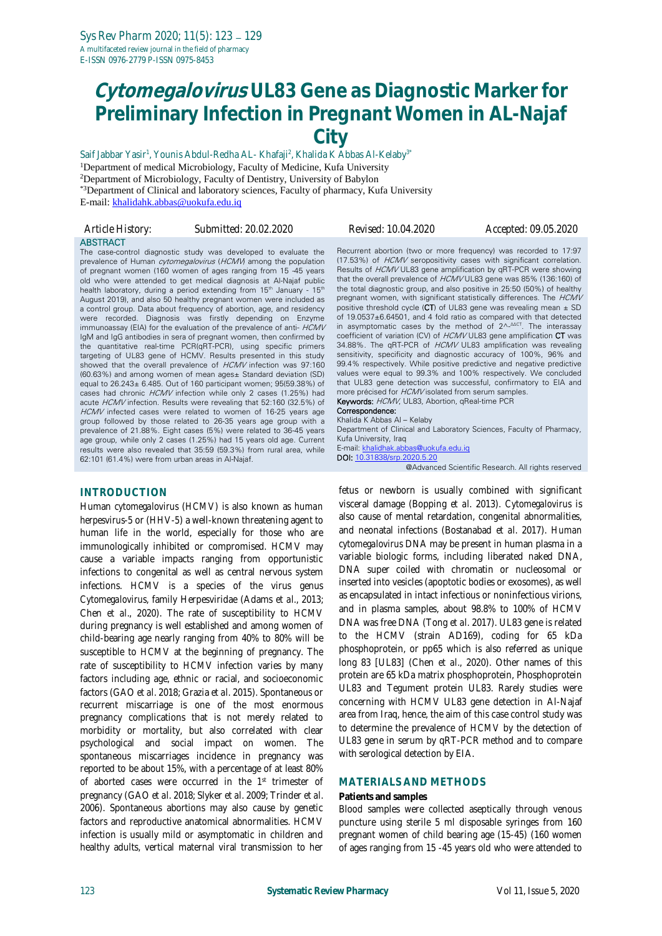# **Cytomegalovirus UL83 Gene as Diagnostic Marker for Preliminary Infection in Pregnant Women in AL-Najaf City**

Saif Jabbar Yasir<sup>1</sup>, Younis Abdul-Redha AL- Khafaji<sup>2</sup>, Khalida K Abbas Al-Kelaby<sup>3</sup>' <sup>1</sup>Department of medical Microbiology, Faculty of Medicine, Kufa University <sup>2</sup>Department of Microbiology, Faculty of Dentistry, University of Babylon \*3Department of Clinical and laboratory sciences, Faculty of pharmacy, Kufa University E-mail: [khalidahk.abbas@uokufa.edu.iq](mailto:khalidahk.abbas@uokufa.edu.iq)

| Article History: | Submitted: 20.02.2020                                                                                                                                                                                                                                                                                                                                                                                                                                                                                                                                                                                                                                                                                                                                                                                                                                                                                                                                                                                                                                                                                                                                                                                                                         | <i>Revised: 10.04.2020</i>                                                                                                                                                                                                                                                                                                                                                                                                                                                                                                                                                                                                                                                                                                                                                                                                                                                                                                                                                                                                                                                                                                                                                                                                                                                             | Accepted: 09.05.2020 |
|------------------|-----------------------------------------------------------------------------------------------------------------------------------------------------------------------------------------------------------------------------------------------------------------------------------------------------------------------------------------------------------------------------------------------------------------------------------------------------------------------------------------------------------------------------------------------------------------------------------------------------------------------------------------------------------------------------------------------------------------------------------------------------------------------------------------------------------------------------------------------------------------------------------------------------------------------------------------------------------------------------------------------------------------------------------------------------------------------------------------------------------------------------------------------------------------------------------------------------------------------------------------------|----------------------------------------------------------------------------------------------------------------------------------------------------------------------------------------------------------------------------------------------------------------------------------------------------------------------------------------------------------------------------------------------------------------------------------------------------------------------------------------------------------------------------------------------------------------------------------------------------------------------------------------------------------------------------------------------------------------------------------------------------------------------------------------------------------------------------------------------------------------------------------------------------------------------------------------------------------------------------------------------------------------------------------------------------------------------------------------------------------------------------------------------------------------------------------------------------------------------------------------------------------------------------------------|----------------------|
| ABSTRACT         | The case-control diagnostic study was developed to evaluate the<br>prevalence of Human <i>cytomegalovirus</i> (HCMV) among the population<br>of pregnant women (160 women of ages ranging from 15 -45 years<br>old who were attended to get medical diagnosis at Al-Najaf public<br>health laboratory, during a period extending from 15 <sup>th</sup> January - 15 <sup>th</sup><br>August 2019), and also 50 healthy pregnant women were included as<br>a control group. Data about frequency of abortion, age, and residency<br>were recorded. Diagnosis was firstly depending on Enzyme<br>immunoassay (EIA) for the evaluation of the prevalence of anti- <i>HCMV</i><br>IgM and IgG antibodies in sera of pregnant women, then confirmed by<br>the quantitative real-time PCR(qRT-PCR), using specific primers<br>targeting of UL83 gene of HCMV. Results presented in this study<br>showed that the overall prevalence of HCMV infection was 97:160<br>(60.63%) and among women of mean ages± Standard deviation (SD)<br>equal to 26.243± 6.485. Out of 160 participant women; 95(59.38%) of<br>cases had chronic HCMV infection while only 2 cases (1.25%) had<br>acute HCMV infection. Results were revealing that 52:160 (32.5%) of | Recurrent abortion (two or more frequency) was recorded to 17:97<br>(17.53%) of <i>HCMV</i> seropositivity cases with significant correlation.<br>Results of <i>HCMV</i> UL83 gene amplification by qRT-PCR were showing<br>that the overall prevalence of <i>HCMV</i> UL83 gene was 85% (136:160) of<br>the total diagnostic group, and also positive in 25:50 (50%) of healthy<br>pregnant women, with significant statistically differences. The <i>HCMV</i><br>positive threshold cycle (CT) of UL83 gene was revealing mean $\pm$ SD<br>of $19.0537 \pm 6.64501$ , and 4 fold ratio as compared with that detected<br>in asymptomatic cases by the method of $2^{\wedge \Delta\Delta\text{CT}}$ . The interassay<br>coefficient of variation (CV) of <i>HCMV</i> UL83 gene amplification CT was<br>34.88%. The qRT-PCR of <i>HCMV</i> UL83 amplification was revealing<br>sensitivity, specificity and diagnostic accuracy of 100%, 96% and<br>99.4% respectively. While positive predictive and negative predictive<br>values were equal to 99.3% and 100% respectively. We concluded<br>that UL83 gene detection was successful, confirmatory to EIA and<br>more précised for <i>HCMV</i> isolated from serum samples.<br><b>Keywords:</b> HCMV, UL83, Abortion, gReal-time PCR |                      |
|                  |                                                                                                                                                                                                                                                                                                                                                                                                                                                                                                                                                                                                                                                                                                                                                                                                                                                                                                                                                                                                                                                                                                                                                                                                                                               |                                                                                                                                                                                                                                                                                                                                                                                                                                                                                                                                                                                                                                                                                                                                                                                                                                                                                                                                                                                                                                                                                                                                                                                                                                                                                        |                      |

 $(60.63%)$  and among women of mean ages $\pm$  Standard deviation  $(SD)$ equal to 26.243± 6.485. Out of 160 participant women; 95(59.38%) of cases had chronic *HCMV* infection while only 2 cases (1.25%) had acute HCMV infection. Results were revealing that 52:160 (32.5%) of HCMV infected cases were related to women of 16-25 years age group followed by those related to 26-35 years age group with a prevalence of 21.88%. Eight cases (5%) were related to 36-45 years age group, while only 2 cases (1.25%) had 15 years old age. Current results were also revealed that 35:59 (59.3%) from rural area, while 62:101 (61.4%) were from urban areas in Al-Najaf.

#### **INTRODUCTION**

Human *cytomegalovirus* (*HCMV*) is also known as *human herpesvirus-5* or (*HHV-5*) a well-known threatening agent to human life in the world, especially for those who are immunologically inhibited or compromised. *HCMV* may cause a variable impacts ranging from opportunistic infections to congenital as well as central nervous system infections. *HCMV* is a species of the virus genus *Cytomegalovirus*, family Herpesviridae (Adams *et al*., 2013; Chen *et al*., 2020). The rate of susceptibility to *HCMV* during pregnancy is well established and among women of child-bearing age nearly ranging from 40% to 80% will be susceptible to *HCMV* at the beginning of pregnancy. The rate of susceptibility to *HCMV* infection varies by many factors including age, ethnic or racial, and socioeconomic factors (GAO *et al*. 2018; Grazia *et al*. 2015). Spontaneous or recurrent miscarriage is one of the most enormous pregnancy complications that is not merely related to morbidity or mortality, but also correlated with clear psychological and social impact on women. The spontaneous miscarriages incidence in pregnancy was reported to be about 15%, with a percentage of at least 80% of aborted cases were occurred in the 1st trimester of pregnancy (GAO *et al*. 2018; Slyker *et al*. 2009; Trinder *et al*. 2006). Spontaneous abortions may also cause by genetic factors and reproductive anatomical abnormalities. *HCMV* infection is usually mild or asymptomatic in children and healthy adults, vertical maternal viral transmission to her

Correspondence: Khalida K Abbas Al – Kelaby Department of Clinical and Laboratory Sciences, Faculty of Pharmacy, Kufa University, Iraq E-mail: [khalidhak.abbas@uokufa.edu.iq](mailto:khalidhak.abbas@uokufa.edu.iq) DOI: [10.31838/srp.2020.5.20](http://dx.doi.org/10.5530/srp.2019.2.04) @Advanced Scientific Research. All rights reserved

fetus or newborn is usually combined with significant visceral damage (Bopping *et al*. 2013). *Cytomegalovirus* is also cause of mental retardation, congenital abnormalities, and neonatal infections (Bostanabad *et al*. 2017). *Human cytomegalovirus* DNA may be present in human plasma in a variable biologic forms, including liberated naked DNA, DNA super coiled with chromatin or nucleosomal or inserted into vesicles (apoptotic bodies or exosomes), as well as encapsulated in intact infectious or noninfectious virions, and in plasma samples, about 98.8% to 100% of *HCMV* DNA was free DNA (Tong *et al*. 2017). UL83 gene is related to the *HCMV* (strain AD169), coding for 65 kDa phosphoprotein, or pp65 which is also referred as unique long 83 [UL83] (Chen *et al*., 2020). Other names of this protein are 65 kDa matrix phosphoprotein, Phosphoprotein UL83 and Tegument protein UL83. Rarely studies were concerning with *HCMV* UL83 gene detection in Al-Najaf area from Iraq, hence, the aim of this case control study was to determine the prevalence of *HCMV* by the detection of UL83 gene in serum by qRT-PCR method and to compare with serological detection by EIA.

#### **MATERIALS AND METHODS**

#### **Patients and samples**

Blood samples were collected aseptically through venous puncture using sterile 5 ml disposable syringes from 160 pregnant women of child bearing age (15-45) (160 women of ages ranging from 15 -45 years old who were attended to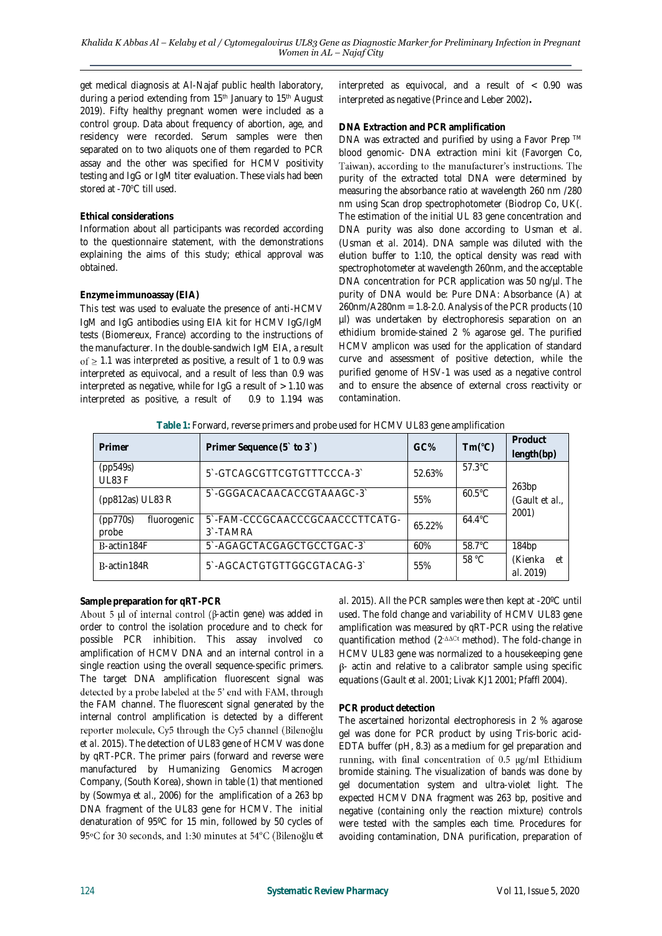get medical diagnosis at Al-Najaf public health laboratory, during a period extending from 15<sup>th</sup> January to 15<sup>th</sup> August 2019). Fifty healthy pregnant women were included as a control group. Data about frequency of abortion, age, and residency were recorded. Serum samples were then separated on to two aliquots one of them regarded to PCR assay and the other was specified for *HCMV* positivity testing and IgG or IgM titer evaluation. These vials had been stored at -70°C till used.

## **Ethical considerations**

Information about all participants was recorded according to the questionnaire statement, with the demonstrations explaining the aims of this study; ethical approval was obtained.

# **Enzyme immunoassay (EIA)**

This test was used to evaluate the presence of anti-*HCMV* IgM and IgG antibodies using EIA kit for *HCMV* IgG/IgM tests (Biomereux, France) according to the instructions of the manufacturer. In the double-sandwich IgM EIA, a result of  $\geq$  1.1 was interpreted as positive, a result of 1 to 0.9 was interpreted as equivocal, and a result of less than 0.9 was interpreted as negative, while for  $I_{Q}G$  a result of  $> 1.10$  was interpreted as positive, a result of 0.9 to 1.194 was

interpreted as equivocal, and a result of < 0.90 was interpreted as negative (Prince and Leber 2002)**.** 

#### **DNA Extraction and PCR amplification**

DNA was extracted and purified by using a Favor Prep ™ blood genomic- DNA extraction mini kit (Favorgen Co, Taiwan), according to the manufacturer's instructions. The purity of the extracted total DNA were determined by measuring the absorbance ratio at wavelength 260 nm /280 nm using Scan drop spectrophotometer (Biodrop Co, UK(. The estimation of the initial UL 83 gene concentration and DNA purity was also done according to Usman et al. (Usman *et al*. 2014). DNA sample was diluted with the elution buffer to 1:10, the optical density was read with spectrophotometer at wavelength 260nm, and the acceptable DNA concentration for PCR application was 50 ng/µl. The purity of DNA would be: Pure DNA: Absorbance (A) at 260nm/A280nm = 1.8-2.0. Analysis of the PCR products (10 µl) was undertaken by electrophoresis separation on an ethidium bromide-stained 2 % agarose gel. The purified *HCMV* amplicon was used for the application of standard curve and assessment of positive detection, while the purified genome of *HSV*-1 was used as a negative control and to ensure the absence of external cross reactivity or contamination.

**Table 1:** Forward, reverse primers and probe used for HCMV UL83 gene amplification

| Primer                           | Primer Sequence (5 to 3)                                | GC%                     | $Tm(^{\circ}C)$  | Product<br>length(bp)      |
|----------------------------------|---------------------------------------------------------|-------------------------|------------------|----------------------------|
| (pp549s)<br>UL83F                | 5'-GTCAGCGTTCGTGTTTCCCA-3'                              | 52.63%                  | $57.3^{\circ}$ C | 263bp                      |
| (pp812as) UL83 R                 | 5'-GGGACACAACACCGTAAAGC-3'                              | $60.5^{\circ}$ C<br>55% |                  | (Gault et al.,<br>2001)    |
| (pp770s)<br>fluorogenic<br>probe | 5'-FAM-CCCGCAACCCGCAACCCTTCATG-<br>3 <sup>-</sup> TAMRA | 65.22%                  | $64.4^{\circ}$ C |                            |
| B-actin184F                      | 5'-AGAGCTACGAGCTGCCTGAC-3'                              | 60%                     | 58.7°C           | 184bp                      |
| B-actin184R                      | 5'-AGCACTGTGTTGGCGTACAG-3'                              | 55%                     | 58 °C            | (Kienka<br>еt<br>al. 2019) |

# **Sample preparation for qRT-PCR**

About 5  $\mu$ l of internal control ( $\beta$ -actin gene) was added in order to control the isolation procedure and to check for possible PCR inhibition. This assay involved co amplification of *HCMV* DNA and an internal control in a single reaction using the overall sequence-specific primers. The target DNA amplification fluorescent signal was detected by a probe labeled at the 5' end with FAM, through the FAM channel. The fluorescent signal generated by the internal control amplification is detected by a different reporter molecule, Cy5 through the Cy5 channel (Bilenoğlu *et al.* 2015). The detection of UL83 gene of *HCMV* was done by qRT-PCR. The primer pairs (forward and reverse were manufactured by Humanizing Genomics Macrogen Company, (South Korea), shown in table (1) that mentioned by (Sowmya *et al*., 2006) for the amplification of a 263 bp DNA fragment of the UL83 gene for *HCMV*. The initial denaturation of 95ºC for 15 min, followed by 50 cycles of 95°C for 30 seconds, and 1:30 minutes at 54°C (Bilenoğlu et

*al*. 2015). All the PCR samples were then kept at -20ºC until used. The fold change and variability of *HCMV* UL83 gene amplification was measured by qRT-PCR using the relative quantification method (2<sup>- $\Delta$ Oct</sup> method). The fold-change in *HCMV* UL83 gene was normalized to a housekeeping gene  $\beta$ - actin and relative to a calibrator sample using specific equations (Gault *et al*. 2001; Livak KJ1 2001; Pfaffl 2004).

# **PCR product detection**

The ascertained horizontal electrophoresis in 2 % agarose gel was done for PCR product by using Tris-boric acid-EDTA buffer (pH, 8.3) as a medium for gel preparation and running, with final concentration of 0.5 µg/ml Ethidium bromide staining. The visualization of bands was done by gel documentation system and ultra-violet light. The expected *HCMV* DNA fragment was 263 bp, positive and negative (containing only the reaction mixture) controls were tested with the samples each time. Procedures for avoiding contamination, DNA purification, preparation of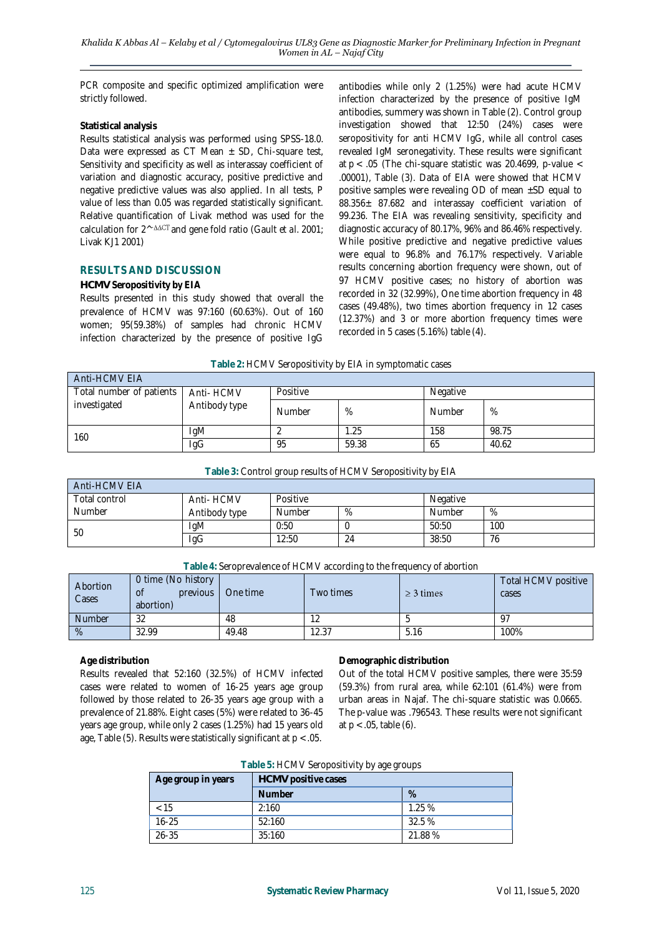PCR composite and specific optimized amplification were strictly followed.

#### **Statistical analysis**

Results statistical analysis was performed using SPSS-18.0. Data were expressed as CT Mean  $\pm$  SD, Chi-square test, Sensitivity and specificity as well as interassay coefficient of variation and diagnostic accuracy, positive predictive and negative predictive values was also applied. In all tests, P value of less than 0.05 was regarded statistically significant. Relative quantification of Livak method was used for the calculation for 2^<sup>-∆∆cT</sup>and gene fold ratio (Gault *et al.* 2001; Livak KJ1 2001)

# **RESULTS AND DISCUSSION**

## *HCMV* **Seropositivity by EIA**

Results presented in this study showed that overall the prevalence of *HCMV* was 97:160 (60.63%). Out of 160 women; 95(59.38%) of samples had chronic *HCMV* infection characterized by the presence of positive IgG

antibodies while only 2 (1.25%) were had acute *HCMV* infection characterized by the presence of positive IgM antibodies, summery was shown in Table (2). Control group investigation showed that 12:50 (24%) cases were seropositivity for anti *HCMV* IgG, while all control cases revealed IgM seronegativity. These results were significant at  $p < .05$  (The chi-square statistic was 20.4699, p-value  $<$ .00001), Table (3). Data of EIA were showed that *HCMV* positive samples were revealing  $OD$  of mean  $\pm SD$  equal to 88.356± 87.682 and interassay coefficient variation of 99.236. The EIA was revealing sensitivity, specificity and diagnostic accuracy of 80.17%, 96% and 86.46% respectively. While positive predictive and negative predictive values were equal to 96.8% and 76.17% respectively. Variable results concerning abortion frequency were shown, out of 97 *HCMV* positive cases; no history of abortion was recorded in 32 (32.99%), One time abortion frequency in 48 cases (49.48%), two times abortion frequency in 12 cases (12.37%) and 3 or more abortion frequency times were recorded in 5 cases (5.16%) table (4).

#### **Table 2:** *HCMV* Seropositivity by EIA in symptomatic cases

| Anti-HCMV EIA                            |                             |          |       |          |       |  |
|------------------------------------------|-----------------------------|----------|-------|----------|-------|--|
| Total number of patients<br>investigated | Anti- HCMV<br>Antibody type | Positive |       | Negative |       |  |
|                                          |                             | Number   | %     | Number   | %     |  |
| 160                                      | IgM                         |          | .25   | 158      | 98.75 |  |
|                                          | lgG                         | 95       | 59.38 | 65       | 40.62 |  |

#### **Table 3:** Control group results of *HCMV* Seropositivity by EIA

| Anti-HCMVFIA  |               |          |    |          |     |  |
|---------------|---------------|----------|----|----------|-----|--|
| Total control | Anti- HCMV    | Positive |    | Negative |     |  |
| Number        | Antibody type | Number   | %  | Number   | %   |  |
| 50            | <b>IgM</b>    | 0:50     |    | 50:50    | 100 |  |
|               | lgG           | 12:50    | 24 | 38:50    | 76  |  |

#### **Table 4:** Seroprevalence of *HCMV* according to the frequency of abortion

| Abortion<br>Cases | 0 time (No history<br>previous<br>οf<br>abortion) | One time | Two times | $\geq$ 3 times | Total <i>HCMV</i> positive<br>cases |
|-------------------|---------------------------------------------------|----------|-----------|----------------|-------------------------------------|
| <b>Number</b>     | 32                                                | 48       |           |                |                                     |
| %                 | 32.99                                             | 49.48    | 12.37     | 5.16           | 100%                                |

#### **Age distribution**

Results revealed that 52:160 (32.5%) of *HCMV* infected cases were related to women of 16-25 years age group followed by those related to 26-35 years age group with a prevalence of 21.88%. Eight cases (5%) were related to 36-45 years age group, while only 2 cases (1.25%) had 15 years old age, Table  $(5)$ . Results were statistically significant at  $p < 0.05$ .

**Demographic distribution**

Out of the total *HCMV* positive samples, there were 35:59 (59.3%) from rural area, while 62:101 (61.4%) were from urban areas in Najaf. The chi-square statistic was 0.0665. The p-value was .796543. These results were not significant at p < .05, table (6).

#### **Table 5:** *HCMV* Seropositivity by age groups

| Age group in years | HCMV positive cases |        |  |
|--------------------|---------------------|--------|--|
|                    | <b>Number</b>       | $\%$   |  |
| < 15               | 2:160               | 1.25%  |  |
| $16 - 25$          | 52:160              | 32.5 % |  |
| 26-35              | 35:160              | 21.88% |  |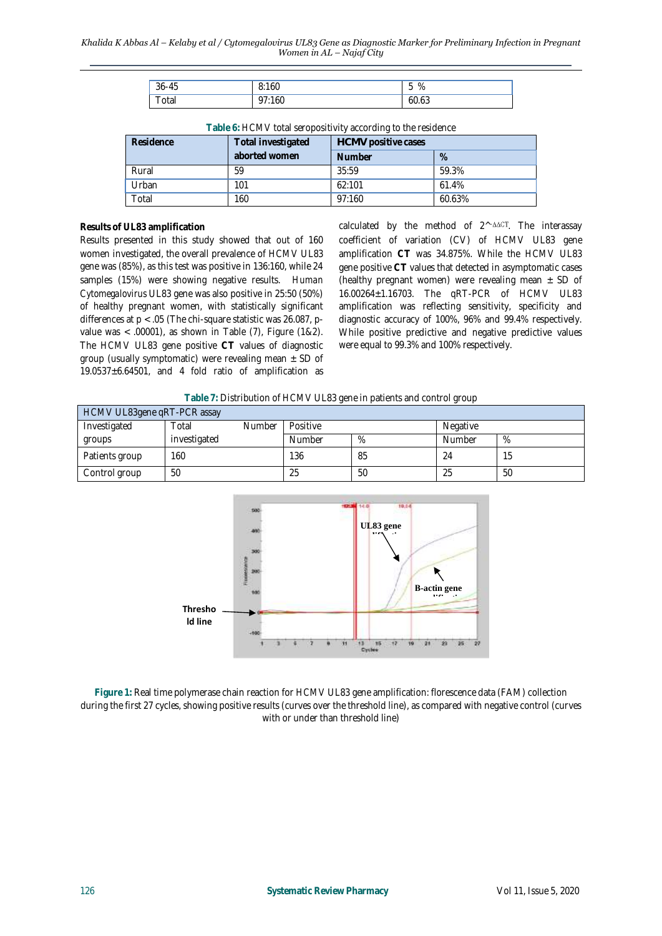| $36 - 45$ | 8:160 | $\overline{\phantom{0}}$<br>%<br>h<br>◡ |
|-----------|-------|-----------------------------------------|
| uldi      | 160   | 60.63                                   |

| Residence | Total investigated | <b>Fable 0. I TOM V TOtal 3G OPOSITIVITY according to the residence</b><br>HCMV positive cases |        |  |
|-----------|--------------------|------------------------------------------------------------------------------------------------|--------|--|
|           | aborted women      | <b>Number</b>                                                                                  | $\%$   |  |
| Rural     | 59                 | 35:59                                                                                          | 59.3%  |  |
| Urban     | 101                | 62:101                                                                                         | 61.4%  |  |
| Total     | 160                | 97:160                                                                                         | 60.63% |  |

**Table 6:** *HCMV* total seropositivity according to the residence

#### **Results of UL83 amplification**

Results presented in this study showed that out of 160 women investigated, the overall prevalence of *HCMV* UL83 gene was (85%), as this test was positive in 136:160, while 24 samples (15%) were showing negative results. *Human Cytomegalovirus* UL83 gene was also positive in 25:50 (50%) of healthy pregnant women, with statistically significant differences at  $p < .05$  (The chi-square statistic was 26.087, pvalue was < .00001), as shown in Table (7), Figure (1&2). The *HCMV* UL83 gene positive **CT** values of diagnostic group (usually symptomatic) were revealing mean  $\pm$  SD of 19.0537±6.64501, and 4 fold ratio of amplification as

calculated by the method of 2^-^^CT. The interassay coefficient of variation (CV) of *HCMV* UL83 gene amplification **CT** was 34.875%. While the *HCMV* UL83 gene positive **CT** values that detected in asymptomatic cases (healthy pregnant women) were revealing mean  $\pm$  SD of 16.00264±1.16703. The qRT-PCR of *HCMV* UL83 amplification was reflecting sensitivity, specificity and diagnostic accuracy of 100%, 96% and 99.4% respectively. While positive predictive and negative predictive values were equal to 99.3% and 100% respectively.

| Table 7: Distribution of HCMVUL83 gene in patients and control group |  |  |
|----------------------------------------------------------------------|--|--|
|----------------------------------------------------------------------|--|--|

| HCMV UL83gene qRT-PCR assay |              |               |          |      |          |    |
|-----------------------------|--------------|---------------|----------|------|----------|----|
| Investigated                | Total        | <b>Number</b> | Positive |      | Negative |    |
| groups                      | investigated |               | Number   | $\%$ | Number   | %  |
| Patients group              | 160          |               | 136      | 85   | 24       | 15 |
| Control group               | 50           |               | 25       | 50   | 25       | 50 |



**Figure 1:** Real time polymerase chain reaction for *HCMV* UL83 gene amplification: florescence data (FAM) collection during the first 27 cycles, showing positive results (curves over the threshold line), as compared with negative control (curves with or under than threshold line)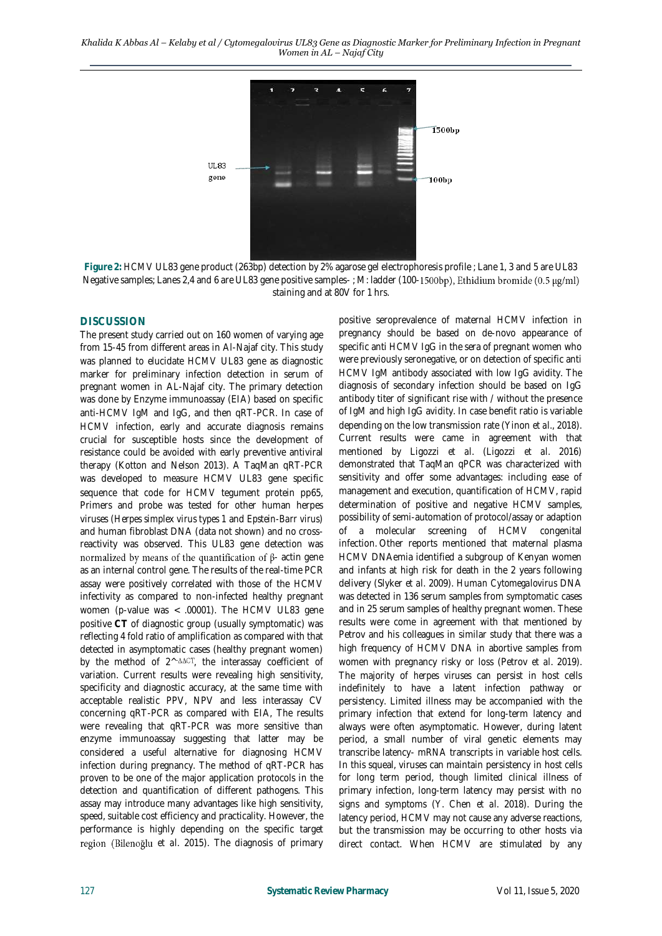

**Figure 2:** *HCMV* UL83 gene product (263bp) detection by 2% agarose gel electrophoresis profile ; Lane 1, 3 and 5 are UL83 Negative samples; Lanes 2,4 and 6 are UL83 gene positive samples-; M: ladder (100-1500bp), Ethidium bromide (0.5 µg/ml) staining and at 80V for 1 hrs.

## **DISCUSSION**

The present study carried out on 160 women of varying age from 15-45 from different areas in Al-Najaf city. This study was planned to elucidate *HCMV* UL83 gene as diagnostic marker for preliminary infection detection in serum of pregnant women in AL-Najaf city. The primary detection was done by Enzyme immunoassay (EIA) based on specific anti-*HCMV* IgM and IgG, and then qRT-PCR. In case of *HCMV* infection, early and accurate diagnosis remains crucial for susceptible hosts since the development of resistance could be avoided with early preventive antiviral therapy (Kotton and Nelson 2013). A TaqMan qRT-PCR was developed to measure *HCMV* UL83 gene specific sequence that code for *HCMV* tegument protein pp65, Primers and probe was tested for other human herpes viruses (*Herpes simplex virus types 1* and *Epstein-Barr virus*) and human fibroblast DNA (data not shown) and no crossreactivity was observed. This UL83 gene detection was normalized by means of the quantification of  $\beta$ - actin gene as an internal control gene. The results of the real-time PCR assay were positively correlated with those of the *HCMV* infectivity as compared to non-infected healthy pregnant women (p-value was < .00001). The *HCMV* UL83 gene positive **CT** of diagnostic group (usually symptomatic) was reflecting 4 fold ratio of amplification as compared with that detected in asymptomatic cases (healthy pregnant women) by the method of  $2^{\wedge -\Delta\Delta CT}$ , the interassay coefficient of variation. Current results were revealing high sensitivity, specificity and diagnostic accuracy, at the same time with acceptable realistic PPV, NPV and less interassay CV concerning qRT-PCR as compared with EIA, The results were revealing that qRT-PCR was more sensitive than enzyme immunoassay suggesting that latter may be considered a useful alternative for diagnosing *HCMV* infection during pregnancy. The method of qRT-PCR has proven to be one of the major application protocols in the detection and quantification of different pathogens. This assay may introduce many advantages like high sensitivity, speed, suitable cost efficiency and practicality. However, the performance is highly depending on the specific target region (Bilenoğlu et al. 2015). The diagnosis of primary

positive seroprevalence of maternal *HCMV* infection in pregnancy should be based on de-novo appearance of specific anti *HCMV* IgG in the sera of pregnant women who were previously seronegative, or on detection of specific anti *HCMV* IgM antibody associated with low IgG avidity. The diagnosis of secondary infection should be based on IgG antibody titer of significant rise with / without the presence of IgM and high IgG avidity. In case benefit ratio is variable depending on the low transmission rate (Yinon *et al*., 2018). Current results were came in agreement with that mentioned by Ligozzi *et al*. (Ligozzi *et al*. 2016) demonstrated that TaqMan qPCR was characterized with sensitivity and offer some advantages: including ease of management and execution, quantification of *HCMV*, rapid determination of positive and negative *HCMV* samples, possibility of semi-automation of protocol/assay or adaption of a molecular screening of *HCMV* congenital infection. Other reports mentioned that maternal plasma *HCMV* DNAemia identified a subgroup of Kenyan women and infants at high risk for death in the 2 years following delivery (Slyker *et al*. 2009). *Human Cytomegalovirus* DNA was detected in 136 serum samples from symptomatic cases and in 25 serum samples of healthy pregnant women. These results were come in agreement with that mentioned by Petrov and his colleagues in similar study that there was a high frequency of *HCMV* DNA in abortive samples from women with pregnancy risky or loss (Petrov *et al*. 2019). The majority of *herpes viruses* can persist in host cells indefinitely to have a latent infection pathway or persistency. Limited illness may be accompanied with the primary infection that extend for long-term latency and always were often asymptomatic. However, during latent period, a small number of viral genetic elements may transcribe latency- mRNA transcripts in variable host cells. In this squeal, viruses can maintain persistency in host cells for long term period, though limited clinical illness of primary infection, long-term latency may persist with no signs and symptoms (Y. Chen *et al*. 2018). During the latency period, *HCMV* may not cause any adverse reactions, but the transmission may be occurring to other hosts via direct contact. When *HCMV* are stimulated by any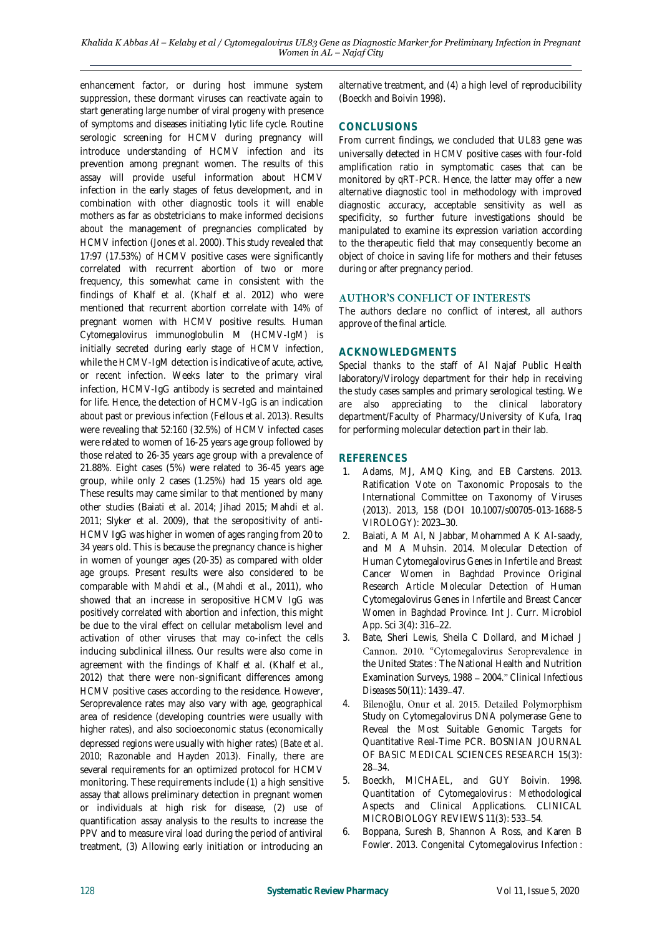enhancement factor, or during host immune system suppression, these dormant viruses can reactivate again to start generating large number of viral progeny with presence of symptoms and diseases initiating lytic life cycle. Routine serologic screening for *HCMV* during pregnancy will introduce understanding of *HCMV* infection and its prevention among pregnant women. The results of this assay will provide useful information about *HCMV* infection in the early stages of fetus development, and in combination with other diagnostic tools it will enable mothers as far as obstetricians to make informed decisions about the management of pregnancies complicated by *HCMV* infection (Jones *et al*. 2000). This study revealed that 17:97 (17.53%) of *HCMV* positive cases were significantly correlated with recurrent abortion of two or more frequency, this somewhat came in consistent with the findings of Khalf *et al*. (Khalf *et al*. 2012) who were mentioned that recurrent abortion correlate with 14% of pregnant women with *HCMV* positive results. *Human Cytomegalovirus* immunoglobulin M (*HCMV*-IgM) is initially secreted during early stage of *HCMV* infection, while the *HCMV*-IgM detection is indicative of acute, active, or recent infection. Weeks later to the primary viral infection, *HCMV*-IgG antibody is secreted and maintained for life. Hence, the detection of *HCMV*-IgG is an indication about past or previous infection (Fellous *et al*. 2013). Results were revealing that 52:160 (32.5%) of *HCMV* infected cases were related to women of 16-25 years age group followed by those related to 26-35 years age group with a prevalence of 21.88%. Eight cases (5%) were related to 36-45 years age group, while only 2 cases (1.25%) had 15 years old age. These results may came similar to that mentioned by many other studies (Baiati *et al*. 2014; Jihad 2015; Mahdi *et al*. 2011; Slyker *et al*. 2009), that the seropositivity of anti-*HCMV* IgG was higher in women of ages ranging from 20 to 34 years old. This is because the pregnancy chance is higher in women of younger ages (20-35) as compared with older age groups. Present results were also considered to be comparable with Mahdi et al., (Mahdi *et al*., 2011), who showed that an increase in seropositive *HCMV* IgG was positively correlated with abortion and infection, this might be due to the viral effect on cellular metabolism level and activation of other viruses that may co-infect the cells inducing subclinical illness. Our results were also come in agreement with the findings of Khalf *et al*. (Khalf *et al*., 2012) that there were non-significant differences among *HCMV* positive cases according to the residence. However, Seroprevalence rates may also vary with age, geographical area of residence (developing countries were usually with higher rates), and also socioeconomic status (economically depressed regions were usually with higher rates) (Bate *et al*. 2010; Razonable and Hayden 2013). Finally, there are several requirements for an optimized protocol for *HCMV* monitoring. These requirements include (1) a high sensitive assay that allows preliminary detection in pregnant women or individuals at high risk for disease, (2) use of quantification assay analysis to the results to increase the PPV and to measure viral load during the period of antiviral treatment, (3) Allowing early initiation or introducing an

alternative treatment, and (4) a high level of reproducibility (Boeckh and Boivin 1998).

## **CONCLUSIONS**

From current findings, we concluded that UL83 gene was universally detected in *HCMV* positive cases with four-fold amplification ratio in symptomatic cases that can be monitored by qRT-PCR. Hence, the latter may offer a new alternative diagnostic tool in methodology with improved diagnostic accuracy, acceptable sensitivity as well as specificity, so further future investigations should be manipulated to examine its expression variation according to the therapeutic field that may consequently become an object of choice in saving life for mothers and their fetuses during or after pregnancy period.

#### **AUTHOR'S CONFLICT OF INTERESTS**

The authors declare no conflict of interest, all authors approve of the final article.

#### **ACKNOWLEDGMENTS**

Special thanks to the staff of Al Najaf Public Health laboratory/Virology department for their help in receiving the study cases samples and primary serological testing. We are also appreciating to the clinical laboratory department/Faculty of Pharmacy/University of Kufa, Iraq for performing molecular detection part in their lab.

## **REFERENCES**

- 1. Adams, MJ, AMQ King, and EB Carstens. 2013. Ratification Vote on Taxonomic Proposals to the International Committee on Taxonomy of Viruses (2013). 2013, 158 (DOI 10.1007/s00705-013-1688-5 VIROLOGY): 2023-30.
- 2. Baiati, A M Al, N Jabbar, Mohammed A K Al-saady, and M A Muhsin. 2014. Molecular Detection of Human Cytomegalovirus Genes in Infertile and Breast Cancer Women in Baghdad Province Original Research Article Molecular Detection of Human Cytomegalovirus Genes in Infertile and Breast Cancer Women in Baghdad Province. Int J. Curr. Microbiol App. Sci 3(4): 316-22.
- 3. Bate, Sheri Lewis, Sheila C Dollard, and Michael J Cannon. 2010. "Cytomegalovirus Seroprevalence in the United States : The National Health and Nutrition Examination Surveys, 1988 2004. *Clinical Infectious*  Diseases 50(11): 1439-47.
- Bilenoğlu, Onur et al. 2015. Detailed Polymorphism 4. Study on Cytomegalovirus DNA polymerase Gene to Reveal the Most Suitable Genomic Targets for Quantitative Real-Time PCR. BOSNIAN JOURNAL OF BASIC MEDICAL SCIENCES RESEARCH 15(3): 28 - 34.
- 5. Boeckh, MICHAEL, and GUY Boivin. 1998. Quantitation of Cytomegalovirus : Methodological Aspects and Clinical Applications. CLINICAL MICROBIOLOGY REVIEWS 11(3): 533-54.
- 6. Boppana, Suresh B, Shannon A Ross, and Karen B Fowler. 2013. Congenital Cytomegalovirus Infection :